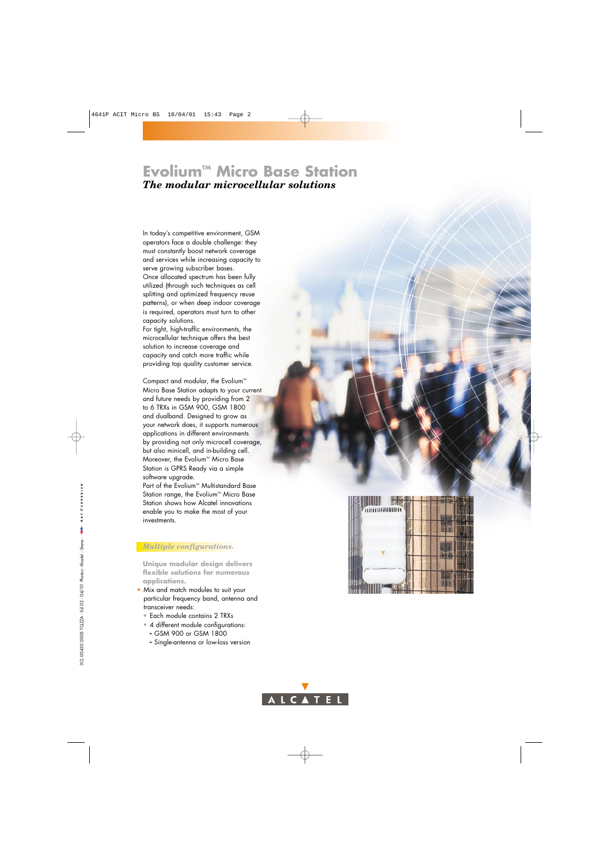# **Evolium™ Micro Base Station** *The modular microcellular solutions*

In today's competitive environment, GSM operators face a double challenge: they must constantly boost network coverage and services while increasing capacity to serve growing subscriber bases. Once allocated spectrum has been fully utilized (through such techniques as cell splitting and optimized frequency reuse patterns), or when deep indoor coverage is required, operators must turn to other capacity solutions.

For tight, high-traffic environments, the microcellular technique offers the best solution to increase coverage and capacity and catch more traffic while providing top quality customer service.

Compact and modular, the Evolium<sup>TM</sup> Micro Base Station adapts to your current and future needs by providing from 2 to 6 TRXs in GSM 900, GSM 1800 and dualband. Designed to grow as your network does, it supports numerous applications in different environments by providing not only microcell coverage, but also minicell, and in-building cell. Moreover, the Evolium<sup> $M$ </sup> Micro Base Station is GPRS Ready via a simple software upgrade.

Part of the Evolium™ Multistandard Base Station range, the Evolium™ Micro Base Station shows how Alcatel innovations enable you to make the most of your investments.

#### *Multiple configurations.*

**Unique modular design delivers flexible solutions for numerous applications.**

- Mix and match modules to suit your particular frequency band, antenna and transceiver needs:
	- Each module contains 2 TRXs
	- 4 different module configurations:
		- GSM 900 or GSM 1800
		- Single-antenna or low-loss version



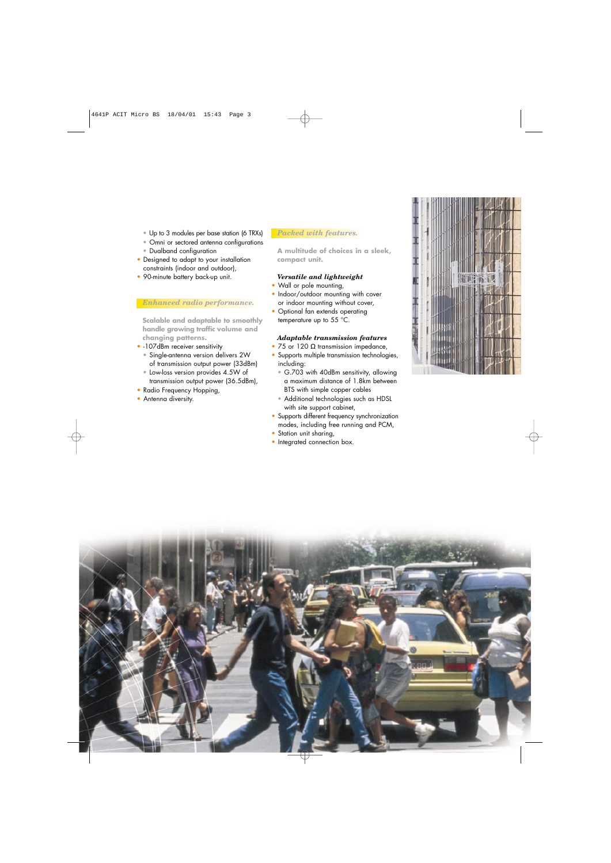- Up to 3 modules per base station (6 TRXs)
- Omni or sectored antenna configurations
- Dualband configuration
- Designed to adapt to your installation constraints (indoor and outdoor),
- 90-minute battery back-up unit.

## *Enhanced radio performance.*

**Scalable and adaptable to smoothly handle growing traffic volume and changing patterns.**

- -107dBm receiver sensitivity
	- Single-antenna version delivers 2W of transmission output power (33dBm)
	- Low-loss version provides 4.5W of transmission output power (36.5dBm),
- Radio Frequency Hopping,
- Antenna diversity.

#### *Packed with features.*

**A multitude of choices in a sleek, compact unit.**

#### *Versatile and lightweight*

- Wall or pole mounting,
- Indoor/outdoor mounting with cover or indoor mounting without cover,
- Optional fan extends operating temperature up to 55 °C.

## *Adaptable transmission features*

- 75 or 120 Ω transmission impedance,
- Supports multiple transmission technologies, including:
	- G.703 with 40dBm sensitivity, allowing a maximum distance of 1.8km between BTS with simple copper cables
	- Additional technologies such as HDSL with site support cabinet,
- Supports different frequency synchronization modes, including free running and PCM,
- Station unit sharing,
- Integrated connection box.



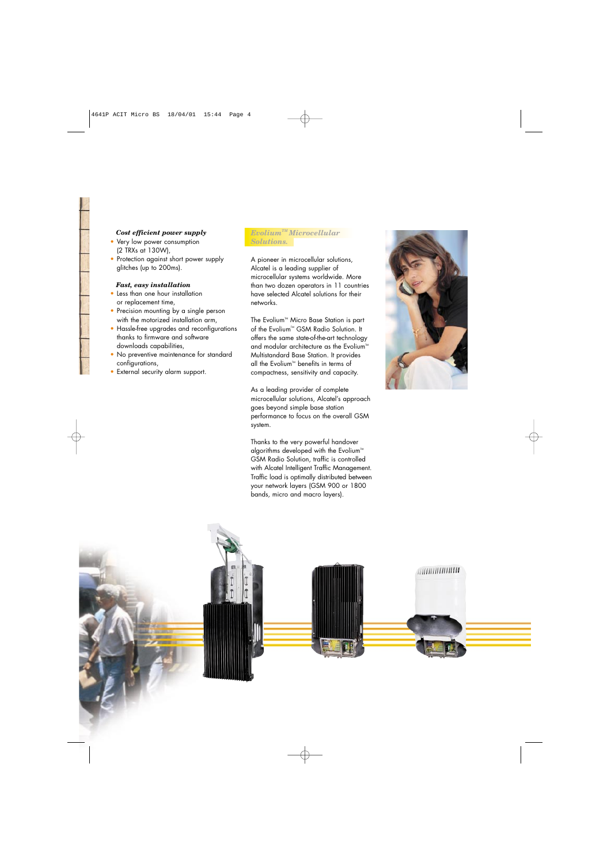#### *Cost efficient power supply*

- Very low power consumption (2 TRXs at 130W),
- Protection against short power supply glitches (up to 200ms).

#### *Fast, easy installation*

- Less than one hour installation or replacement time,
- Precision mounting by a single person with the motorized installation arm,
- Hassle-free upgrades and reconfigurations thanks to firmware and software downloads capabilities,
- No preventive maintenance for standard configurations,
- External security alarm support.

## *EvoliumTM Microcellular Solutions.*

A pioneer in microcellular solutions, Alcatel is a leading supplier of microcellular systems worldwide. More than two dozen operators in 11 countries have selected Alcatel solutions for their networks.

The Evolium<sup>™</sup> Micro Base Station is part of the Evolium<sup>™</sup> GSM Radio Solution. It offers the same state-of-the-art technology and modular architecture as the Evolium<sup>™</sup> Multistandard Base Station. It provides all the Evolium<sup>™</sup> benefits in terms of compactness, sensitivity and capacity.

As a leading provider of complete microcellular solutions, Alcatel's approach goes beyond simple base station performance to focus on the overall GSM system.

Thanks to the very powerful handover algorithms developed with the Evolium<sup>™</sup> GSM Radio Solution, traffic is controlled with Alcatel Intelligent Traffic Management. Traffic load is optimally distributed between your network layers (GSM 900 or 1800 bands, micro and macro layers).